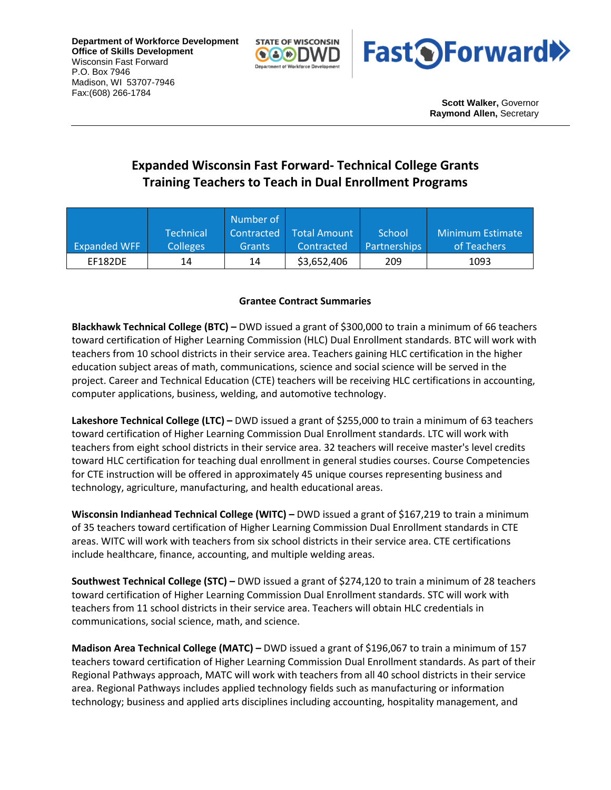**Department of Workforce Development Office of Skills Development** Wisconsin Fast Forward P.O. Box 7946 Madison, WI 53707-7946 Fax:(608) 266-1784





**Scott Walker,** Governor **Raymond Allen,** Secretary

## **Expanded Wisconsin Fast Forward- Technical College Grants Training Teachers to Teach in Dual Enrollment Programs**

|                     |                  | Number of     |              |                     |                  |
|---------------------|------------------|---------------|--------------|---------------------|------------------|
|                     | <b>Technical</b> | Contracted    | Total Amount | School              | Minimum Estimate |
| <b>Expanded WFF</b> | <b>Colleges</b>  | <b>Grants</b> | Contracted   | <b>Partnerships</b> | of Teachers      |
| <b>EF182DE</b>      | 14               | 14            | \$3,652,406  | 209                 | 1093             |

## **Grantee Contract Summaries**

**Blackhawk Technical College (BTC) –** DWD issued a grant of \$300,000 to train a minimum of 66 teachers toward certification of Higher Learning Commission (HLC) Dual Enrollment standards. BTC will work with teachers from 10 school districts in their service area. Teachers gaining HLC certification in the higher education subject areas of math, communications, science and social science will be served in the project. Career and Technical Education (CTE) teachers will be receiving HLC certifications in accounting, computer applications, business, welding, and automotive technology.

**Lakeshore Technical College (LTC) –** DWD issued a grant of \$255,000 to train a minimum of 63 teachers toward certification of Higher Learning Commission Dual Enrollment standards. LTC will work with teachers from eight school districts in their service area. 32 teachers will receive master's level credits toward HLC certification for teaching dual enrollment in general studies courses. Course Competencies for CTE instruction will be offered in approximately 45 unique courses representing business and technology, agriculture, manufacturing, and health educational areas.

**Wisconsin Indianhead Technical College (WITC) –** DWD issued a grant of \$167,219 to train a minimum of 35 teachers toward certification of Higher Learning Commission Dual Enrollment standards in CTE areas. WITC will work with teachers from six school districts in their service area. CTE certifications include healthcare, finance, accounting, and multiple welding areas.

**Southwest Technical College (STC) –** DWD issued a grant of \$274,120 to train a minimum of 28 teachers toward certification of Higher Learning Commission Dual Enrollment standards. STC will work with teachers from 11 school districts in their service area. Teachers will obtain HLC credentials in communications, social science, math, and science.

**Madison Area Technical College (MATC) –** DWD issued a grant of \$196,067 to train a minimum of 157 teachers toward certification of Higher Learning Commission Dual Enrollment standards. As part of their Regional Pathways approach, MATC will work with teachers from all 40 school districts in their service area. Regional Pathways includes applied technology fields such as manufacturing or information technology; business and applied arts disciplines including accounting, hospitality management, and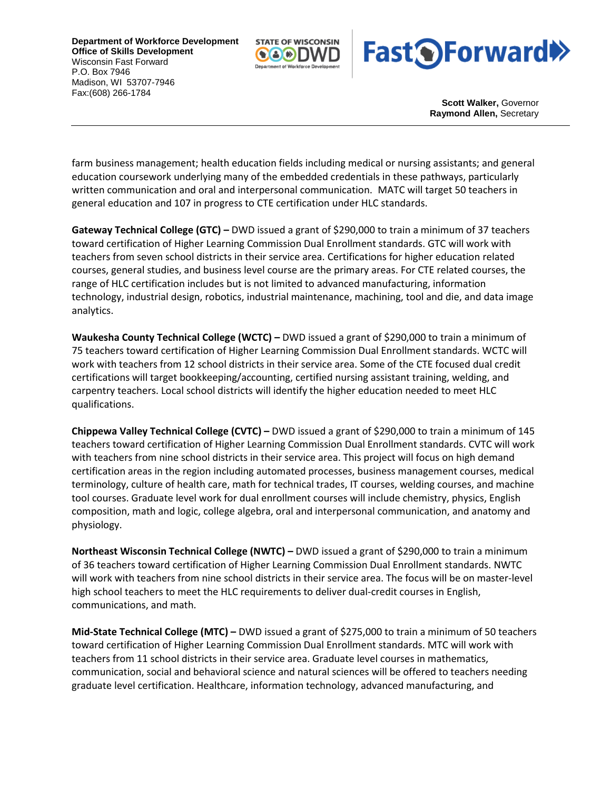**Department of Workforce Development Office of Skills Development** Wisconsin Fast Forward P.O. Box 7946 Madison, WI 53707-7946 Fax:(608) 266-1784





**Scott Walker,** Governor **Raymond Allen,** Secretary

farm business management; health education fields including medical or nursing assistants; and general education coursework underlying many of the embedded credentials in these pathways, particularly written communication and oral and interpersonal communication. MATC will target 50 teachers in general education and 107 in progress to CTE certification under HLC standards.

**Gateway Technical College (GTC) –** DWD issued a grant of \$290,000 to train a minimum of 37 teachers toward certification of Higher Learning Commission Dual Enrollment standards. GTC will work with teachers from seven school districts in their service area. Certifications for higher education related courses, general studies, and business level course are the primary areas. For CTE related courses, the range of HLC certification includes but is not limited to advanced manufacturing, information technology, industrial design, robotics, industrial maintenance, machining, tool and die, and data image analytics.

**Waukesha County Technical College (WCTC) –** DWD issued a grant of \$290,000 to train a minimum of 75 teachers toward certification of Higher Learning Commission Dual Enrollment standards. WCTC will work with teachers from 12 school districts in their service area. Some of the CTE focused dual credit certifications will target bookkeeping/accounting, certified nursing assistant training, welding, and carpentry teachers. Local school districts will identify the higher education needed to meet HLC qualifications.

**Chippewa Valley Technical College (CVTC) –** DWD issued a grant of \$290,000 to train a minimum of 145 teachers toward certification of Higher Learning Commission Dual Enrollment standards. CVTC will work with teachers from nine school districts in their service area. This project will focus on high demand certification areas in the region including automated processes, business management courses, medical terminology, culture of health care, math for technical trades, IT courses, welding courses, and machine tool courses. Graduate level work for dual enrollment courses will include chemistry, physics, English composition, math and logic, college algebra, oral and interpersonal communication, and anatomy and physiology.

**Northeast Wisconsin Technical College (NWTC) –** DWD issued a grant of \$290,000 to train a minimum of 36 teachers toward certification of Higher Learning Commission Dual Enrollment standards. NWTC will work with teachers from nine school districts in their service area. The focus will be on master-level high school teachers to meet the HLC requirements to deliver dual-credit courses in English, communications, and math.

**Mid-State Technical College (MTC) –** DWD issued a grant of \$275,000 to train a minimum of 50 teachers toward certification of Higher Learning Commission Dual Enrollment standards. MTC will work with teachers from 11 school districts in their service area. Graduate level courses in mathematics, communication, social and behavioral science and natural sciences will be offered to teachers needing graduate level certification. Healthcare, information technology, advanced manufacturing, and